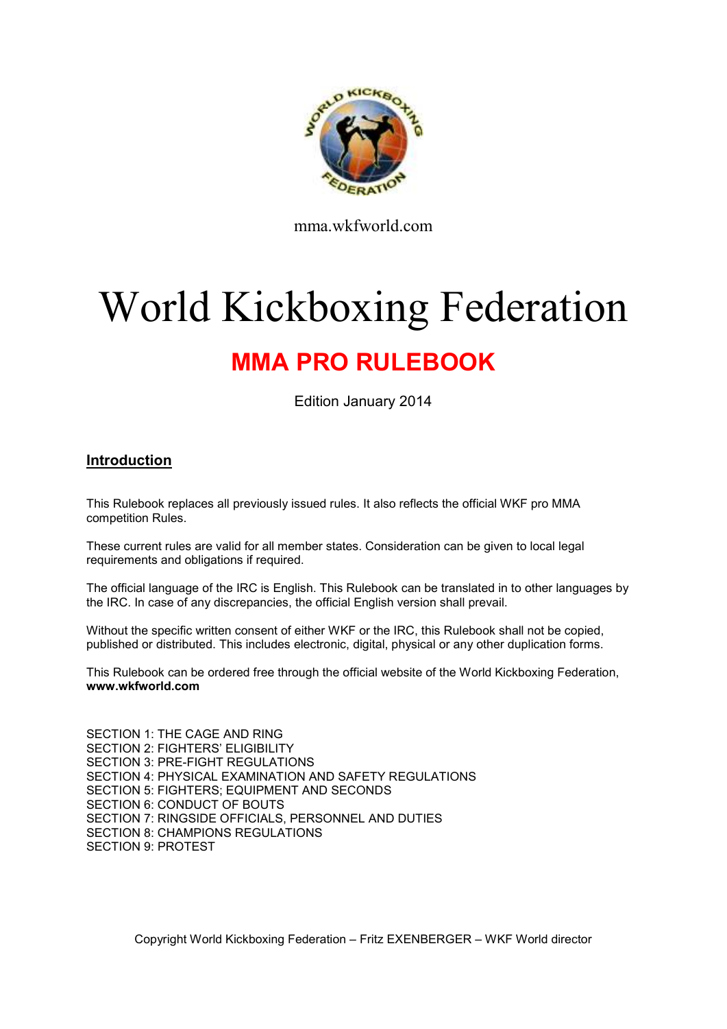

mma.wkfworld.com

# World Kickboxing Federation

# **MMA PRO RULEBOOK**

Edition January 2014

# **Introduction**

This Rulebook replaces all previously issued rules. It also reflects the official WKF pro MMA competition Rules.

These current rules are valid for all member states. Consideration can be given to local legal requirements and obligations if required.

The official language of the IRC is English. This Rulebook can be translated in to other languages by the IRC. In case of any discrepancies, the official English version shall prevail.

Without the specific written consent of either WKF or the IRC, this Rulebook shall not be copied, published or distributed. This includes electronic, digital, physical or any other duplication forms.

This Rulebook can be ordered free through the official website of the World Kickboxing Federation, **www.wkfworld.com**

SECTION 1: THE CAGE AND RING SECTION 2: FIGHTERS' ELIGIBILITY SECTION 3: PRE-FIGHT REGULATIONS SECTION 4: PHYSICAL EXAMINATION AND SAFETY REGULATIONS SECTION 5: FIGHTERS; EQUIPMENT AND SECONDS SECTION 6: CONDUCT OF BOUTS SECTION 7: RINGSIDE OFFICIALS, PERSONNEL AND DUTIES SECTION 8: CHAMPIONS REGULATIONS SECTION 9: PROTEST

Copyright World Kickboxing Federation – Fritz EXENBERGER – WKF World director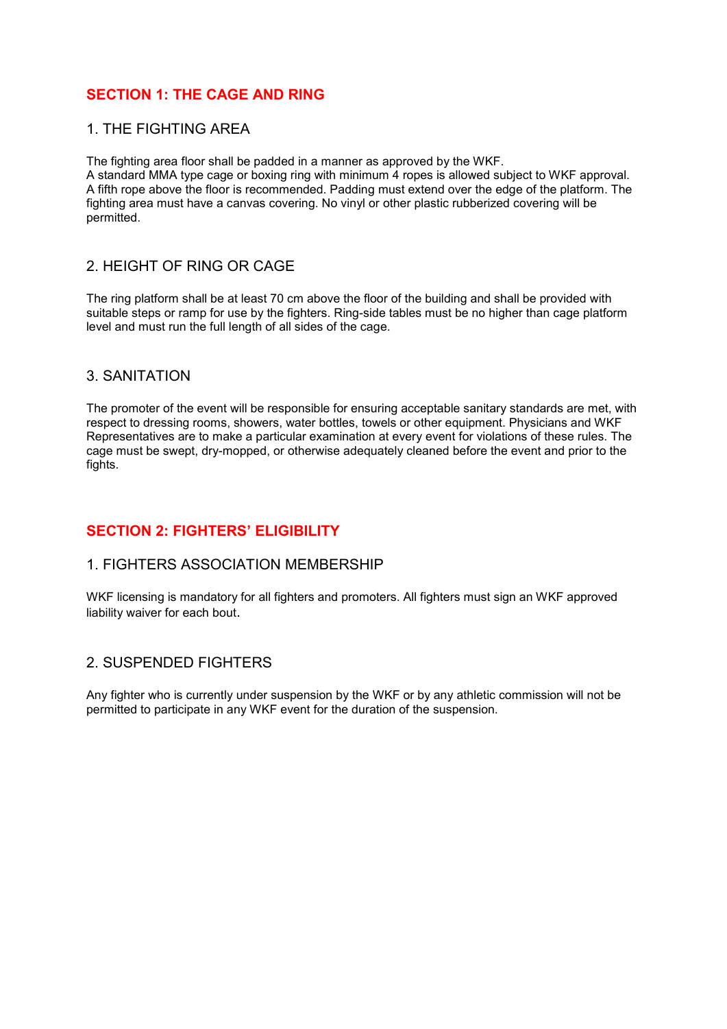# **SECTION 1: THE CAGE AND RING**

#### 1. THE FIGHTING AREA

The fighting area floor shall be padded in a manner as approved by the WKF.

A standard MMA type cage or boxing ring with minimum 4 ropes is allowed subject to WKF approval. A fifth rope above the floor is recommended. Padding must extend over the edge of the platform. The fighting area must have a canvas covering. No vinyl or other plastic rubberized covering will be permitted.

# 2. HEIGHT OF RING OR CAGE

The ring platform shall be at least 70 cm above the floor of the building and shall be provided with suitable steps or ramp for use by the fighters. Ring-side tables must be no higher than cage platform level and must run the full length of all sides of the cage.

#### 3. SANITATION

The promoter of the event will be responsible for ensuring acceptable sanitary standards are met, with respect to dressing rooms, showers, water bottles, towels or other equipment. Physicians and WKF Representatives are to make a particular examination at every event for violations of these rules. The cage must be swept, dry-mopped, or otherwise adequately cleaned before the event and prior to the fights.

# **SECTION 2: FIGHTERS' ELIGIBILITY**

#### 1. FIGHTERS ASSOCIATION MEMBERSHIP

WKF licensing is mandatory for all fighters and promoters. All fighters must sign an WKF approved liability waiver for each bout.

# 2. SUSPENDED FIGHTERS

Any fighter who is currently under suspension by the WKF or by any athletic commission will not be permitted to participate in any WKF event for the duration of the suspension.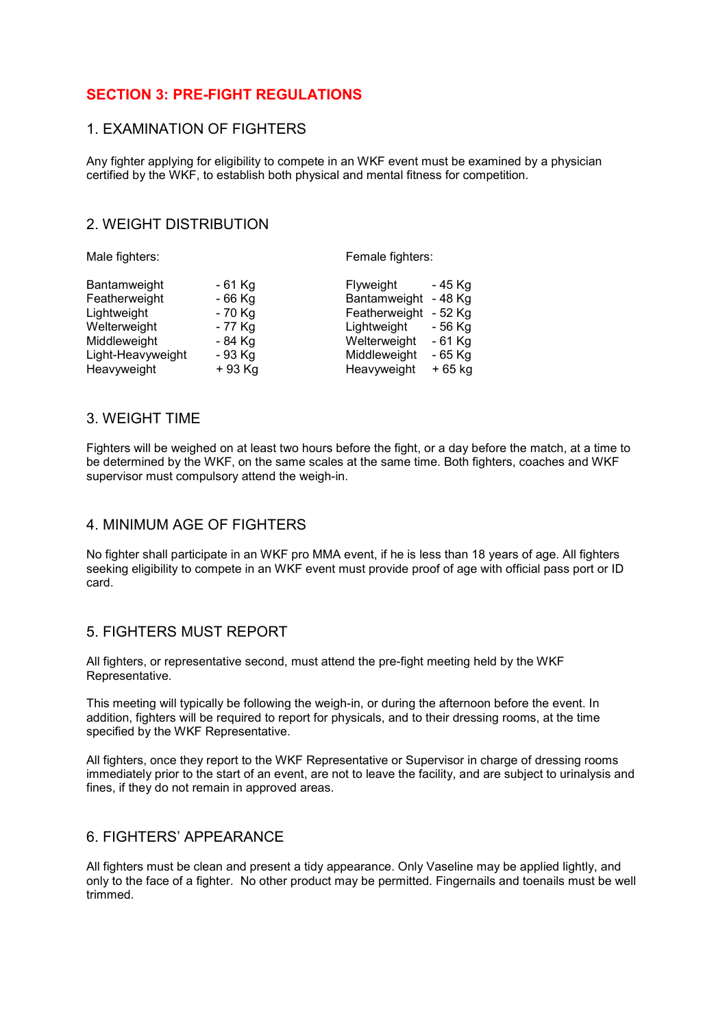# **SECTION 3: PRE-FIGHT REGULATIONS**

#### 1. EXAMINATION OF FIGHTERS

Any fighter applying for eligibility to compete in an WKF event must be examined by a physician certified by the WKF, to establish both physical and mental fitness for competition.

# 2. WEIGHT DISTRIBUTION

| Male fighters:    |         | Female fighters:          |
|-------------------|---------|---------------------------|
| Bantamweight      | - 61 Kg | Flyweight<br>- 45 Kg      |
| Featherweight     | - 66 Kg | - 48 Kg<br>Bantamweight   |
| Lightweight       | - 70 Kg | Featherweight<br>$-52$ Kg |
| Welterweight      | - 77 Kg | Lightweight<br>- 56 Kg    |
| Middleweight      | - 84 Kg | Welterweight<br>$-61$ Kg  |
| Light-Heavyweight | - 93 Kg | Middleweight<br>- 65 Kg   |
| Heavyweight       | + 93 Kg | Heavyweight<br>+ 65 kg    |

# 3. WEIGHT TIME

Fighters will be weighed on at least two hours before the fight, or a day before the match, at a time to be determined by the WKF, on the same scales at the same time. Both fighters, coaches and WKF supervisor must compulsory attend the weigh-in.

#### 4. MINIMUM AGE OF FIGHTERS

No fighter shall participate in an WKF pro MMA event, if he is less than 18 years of age. All fighters seeking eligibility to compete in an WKF event must provide proof of age with official pass port or ID card.

#### 5. FIGHTERS MUST REPORT

All fighters, or representative second, must attend the pre-fight meeting held by the WKF Representative.

This meeting will typically be following the weigh-in, or during the afternoon before the event. In addition, fighters will be required to report for physicals, and to their dressing rooms, at the time specified by the WKF Representative.

All fighters, once they report to the WKF Representative or Supervisor in charge of dressing rooms immediately prior to the start of an event, are not to leave the facility, and are subject to urinalysis and fines, if they do not remain in approved areas.

#### 6. FIGHTERS' APPEARANCE

All fighters must be clean and present a tidy appearance. Only Vaseline may be applied lightly, and only to the face of a fighter. No other product may be permitted. Fingernails and toenails must be well trimmed.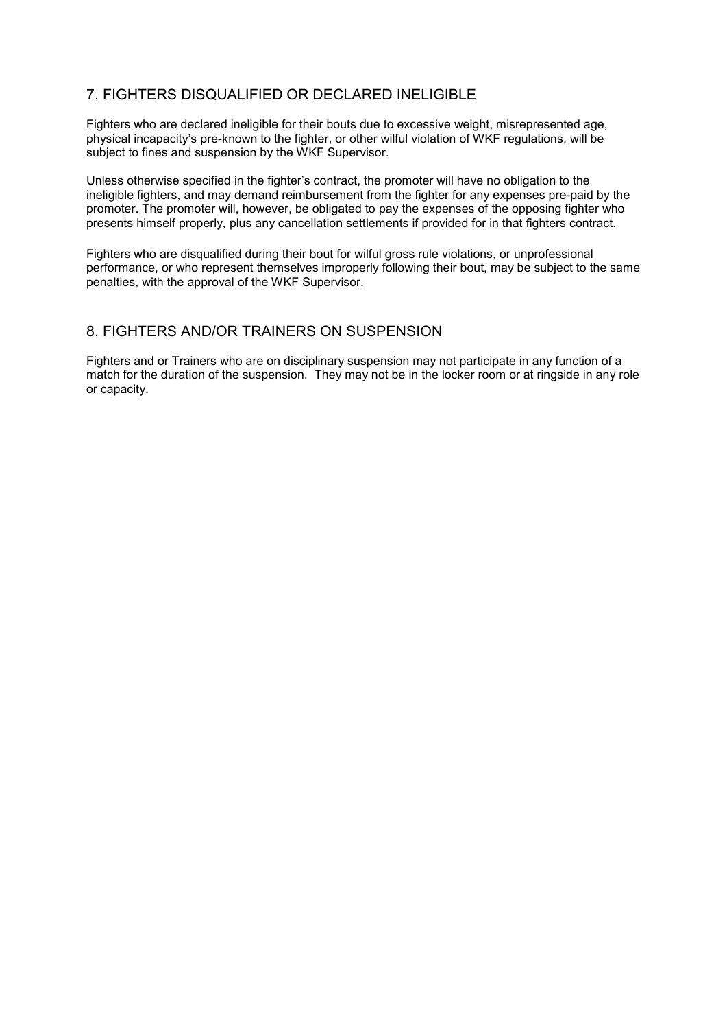# 7. FIGHTERS DISQUALIFIED OR DECLARED INELIGIBLE

Fighters who are declared ineligible for their bouts due to excessive weight, misrepresented age, physical incapacity's pre-known to the fighter, or other wilful violation of WKF regulations, will be subject to fines and suspension by the WKF Supervisor.

Unless otherwise specified in the fighter's contract, the promoter will have no obligation to the ineligible fighters, and may demand reimbursement from the fighter for any expenses pre-paid by the promoter. The promoter will, however, be obligated to pay the expenses of the opposing fighter who presents himself properly, plus any cancellation settlements if provided for in that fighters contract.

Fighters who are disqualified during their bout for wilful gross rule violations, or unprofessional performance, or who represent themselves improperly following their bout, may be subject to the same penalties, with the approval of the WKF Supervisor.

# 8. FIGHTERS AND/OR TRAINERS ON SUSPENSION

Fighters and or Trainers who are on disciplinary suspension may not participate in any function of a match for the duration of the suspension. They may not be in the locker room or at ringside in any role or capacity.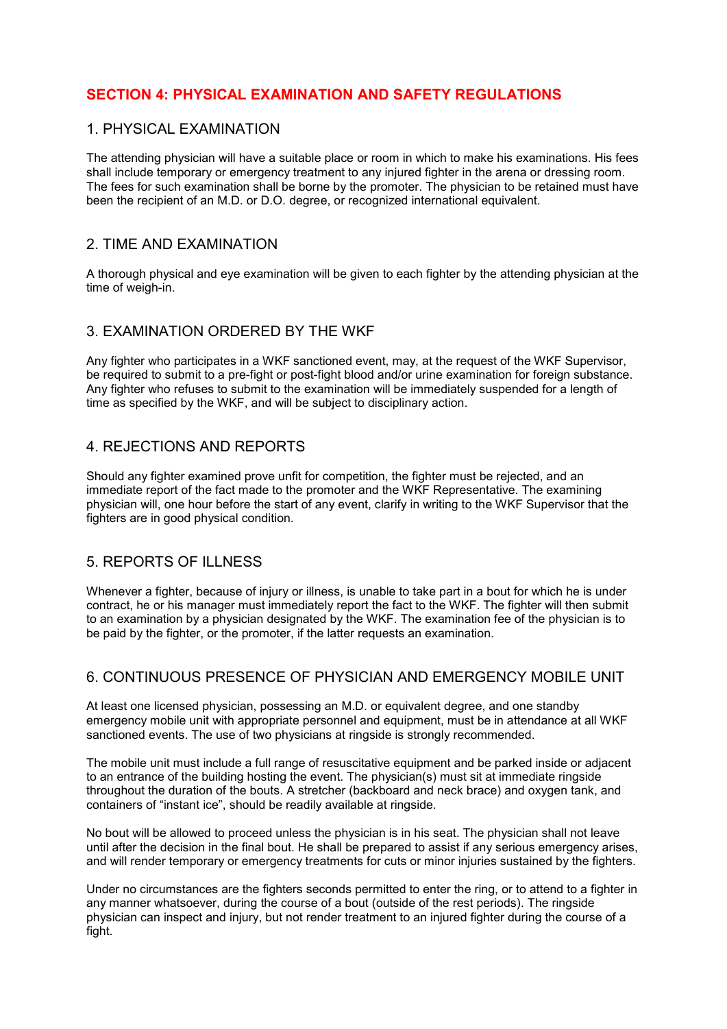# **SECTION 4: PHYSICAL EXAMINATION AND SAFETY REGULATIONS**

#### 1. PHYSICAL EXAMINATION

The attending physician will have a suitable place or room in which to make his examinations. His fees shall include temporary or emergency treatment to any injured fighter in the arena or dressing room. The fees for such examination shall be borne by the promoter. The physician to be retained must have been the recipient of an M.D. or D.O. degree, or recognized international equivalent.

#### 2. TIME AND EXAMINATION

A thorough physical and eye examination will be given to each fighter by the attending physician at the time of weigh-in.

#### 3. EXAMINATION ORDERED BY THE WKF

Any fighter who participates in a WKF sanctioned event, may, at the request of the WKF Supervisor, be required to submit to a pre-fight or post-fight blood and/or urine examination for foreign substance. Any fighter who refuses to submit to the examination will be immediately suspended for a length of time as specified by the WKF, and will be subject to disciplinary action.

#### 4. REJECTIONS AND REPORTS

Should any fighter examined prove unfit for competition, the fighter must be rejected, and an immediate report of the fact made to the promoter and the WKF Representative. The examining physician will, one hour before the start of any event, clarify in writing to the WKF Supervisor that the fighters are in good physical condition.

# 5. REPORTS OF ILLNESS

Whenever a fighter, because of injury or illness, is unable to take part in a bout for which he is under contract, he or his manager must immediately report the fact to the WKF. The fighter will then submit to an examination by a physician designated by the WKF. The examination fee of the physician is to be paid by the fighter, or the promoter, if the latter requests an examination.

# 6. CONTINUOUS PRESENCE OF PHYSICIAN AND EMERGENCY MOBILE UNIT

At least one licensed physician, possessing an M.D. or equivalent degree, and one standby emergency mobile unit with appropriate personnel and equipment, must be in attendance at all WKF sanctioned events. The use of two physicians at ringside is strongly recommended.

The mobile unit must include a full range of resuscitative equipment and be parked inside or adjacent to an entrance of the building hosting the event. The physician(s) must sit at immediate ringside throughout the duration of the bouts. A stretcher (backboard and neck brace) and oxygen tank, and containers of "instant ice", should be readily available at ringside.

No bout will be allowed to proceed unless the physician is in his seat. The physician shall not leave until after the decision in the final bout. He shall be prepared to assist if any serious emergency arises, and will render temporary or emergency treatments for cuts or minor injuries sustained by the fighters.

Under no circumstances are the fighters seconds permitted to enter the ring, or to attend to a fighter in any manner whatsoever, during the course of a bout (outside of the rest periods). The ringside physician can inspect and injury, but not render treatment to an injured fighter during the course of a fight.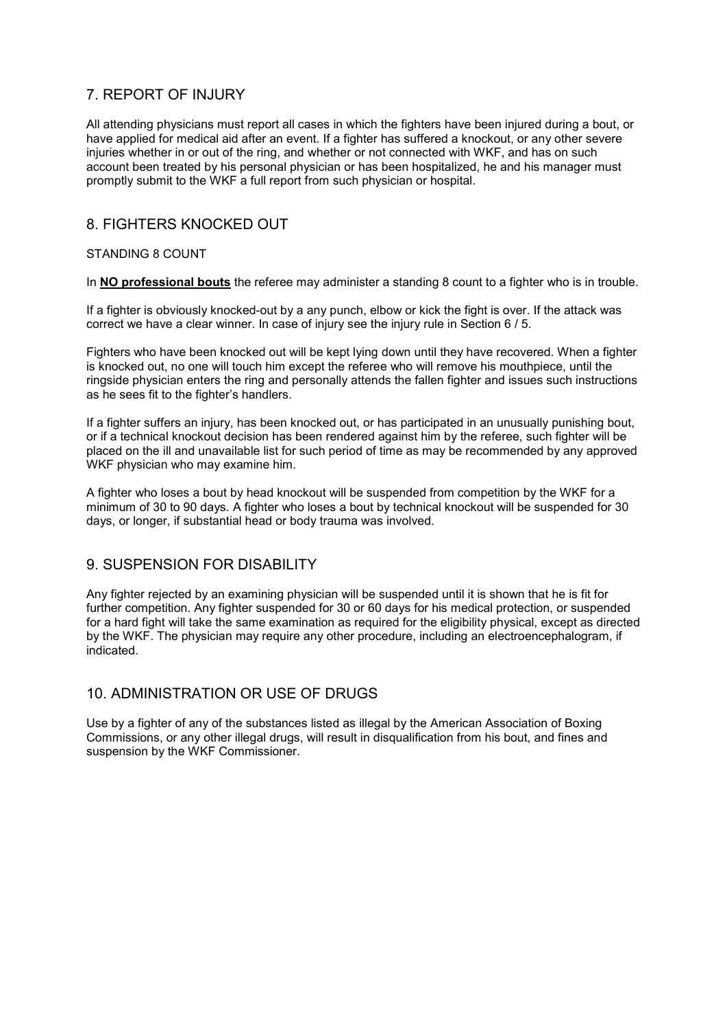# 7. REPORT OF INJURY

All attending physicians must report all cases in which the fighters have been injured during a bout, or have applied for medical aid after an event. If a fighter has suffered a knockout, or any other severe injuries whether in or out of the ring, and whether or not connected with WKF, and has on such account been treated by his personal physician or has been hospitalized, he and his manager must promptly submit to the WKF a full report from such physician or hospital.

#### 8. FIGHTERS KNOCKED OUT

#### STANDING 8 COUNT

In **NO professional bouts** the referee may administer a standing 8 count to a fighter who is in trouble.

If a fighter is obviously knocked-out by a any punch, elbow or kick the fight is over. If the attack was correct we have a clear winner. In case of injury see the injury rule in Section 6 / 5.

Fighters who have been knocked out will be kept lying down until they have recovered. When a fighter is knocked out, no one will touch him except the referee who will remove his mouthpiece, until the ringside physician enters the ring and personally attends the fallen fighter and issues such instructions as he sees fit to the fighter's handlers.

If a fighter suffers an injury, has been knocked out, or has participated in an unusually punishing bout, or if a technical knockout decision has been rendered against him by the referee, such fighter will be placed on the ill and unavailable list for such period of time as may be recommended by any approved WKF physician who may examine him.

A fighter who loses a bout by head knockout will be suspended from competition by the WKF for a minimum of 30 to 90 days. A fighter who loses a bout by technical knockout will be suspended for 30 days, or longer, if substantial head or body trauma was involved.

#### 9. SUSPENSION FOR DISABILITY

Any fighter rejected by an examining physician will be suspended until it is shown that he is fit for further competition. Any fighter suspended for 30 or 60 days for his medical protection, or suspended for a hard fight will take the same examination as required for the eligibility physical, except as directed by the WKF. The physician may require any other procedure, including an electroencephalogram, if indicated.

# 10. ADMINISTRATION OR USE OF DRUGS

Use by a fighter of any of the substances listed as illegal by the American Association of Boxing Commissions, or any other illegal drugs, will result in disqualification from his bout, and fines and suspension by the WKF Commissioner.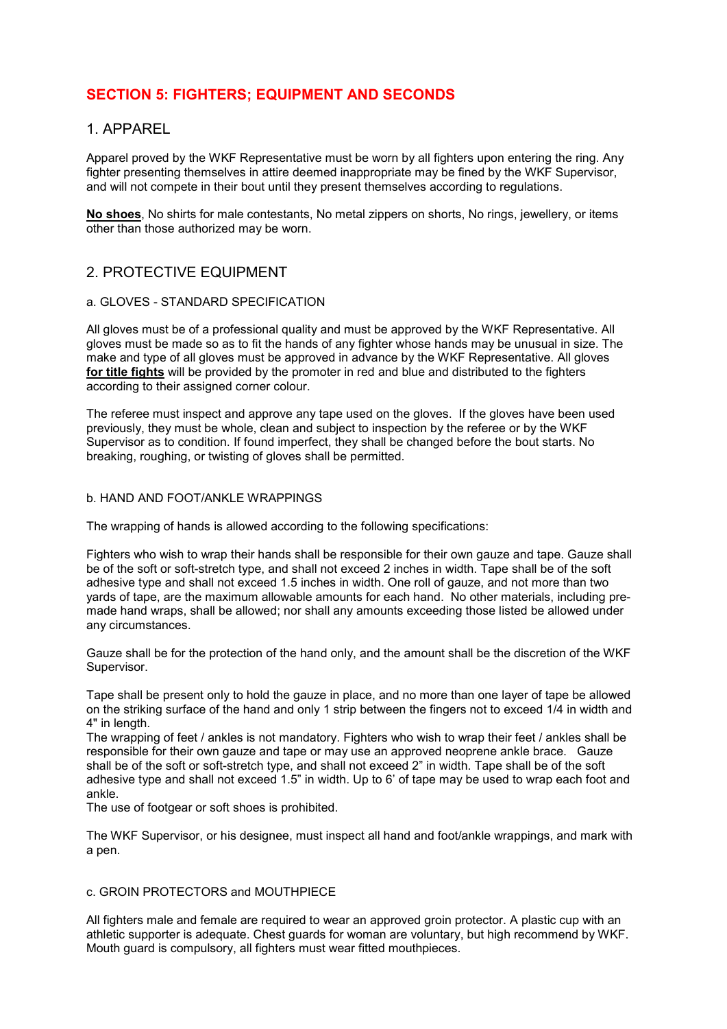# **SECTION 5: FIGHTERS; EQUIPMENT AND SECONDS**

#### 1. APPAREL

Apparel proved by the WKF Representative must be worn by all fighters upon entering the ring. Any fighter presenting themselves in attire deemed inappropriate may be fined by the WKF Supervisor, and will not compete in their bout until they present themselves according to regulations.

**No shoes**, No shirts for male contestants, No metal zippers on shorts, No rings, jewellery, or items other than those authorized may be worn.

#### 2. PROTECTIVE EQUIPMENT

#### a. GLOVES - STANDARD SPECIFICATION

All gloves must be of a professional quality and must be approved by the WKF Representative. All gloves must be made so as to fit the hands of any fighter whose hands may be unusual in size. The make and type of all gloves must be approved in advance by the WKF Representative. All gloves **for title fights** will be provided by the promoter in red and blue and distributed to the fighters according to their assigned corner colour.

The referee must inspect and approve any tape used on the gloves. If the gloves have been used previously, they must be whole, clean and subject to inspection by the referee or by the WKF Supervisor as to condition. If found imperfect, they shall be changed before the bout starts. No breaking, roughing, or twisting of gloves shall be permitted.

#### b. HAND AND FOOT/ANKLE WRAPPINGS

The wrapping of hands is allowed according to the following specifications:

Fighters who wish to wrap their hands shall be responsible for their own gauze and tape. Gauze shall be of the soft or soft-stretch type, and shall not exceed 2 inches in width. Tape shall be of the soft adhesive type and shall not exceed 1.5 inches in width. One roll of gauze, and not more than two yards of tape, are the maximum allowable amounts for each hand. No other materials, including premade hand wraps, shall be allowed; nor shall any amounts exceeding those listed be allowed under any circumstances.

Gauze shall be for the protection of the hand only, and the amount shall be the discretion of the WKF Supervisor.

Tape shall be present only to hold the gauze in place, and no more than one layer of tape be allowed on the striking surface of the hand and only 1 strip between the fingers not to exceed 1/4 in width and 4" in length.

The wrapping of feet / ankles is not mandatory. Fighters who wish to wrap their feet / ankles shall be responsible for their own gauze and tape or may use an approved neoprene ankle brace. Gauze shall be of the soft or soft-stretch type, and shall not exceed 2" in width. Tape shall be of the soft adhesive type and shall not exceed 1.5" in width. Up to 6' of tape may be used to wrap each foot and ankle.

The use of footgear or soft shoes is prohibited.

The WKF Supervisor, or his designee, must inspect all hand and foot/ankle wrappings, and mark with a pen.

#### c. GROIN PROTECTORS and MOUTHPIECE

All fighters male and female are required to wear an approved groin protector. A plastic cup with an athletic supporter is adequate. Chest guards for woman are voluntary, but high recommend by WKF. Mouth guard is compulsory, all fighters must wear fitted mouthpieces.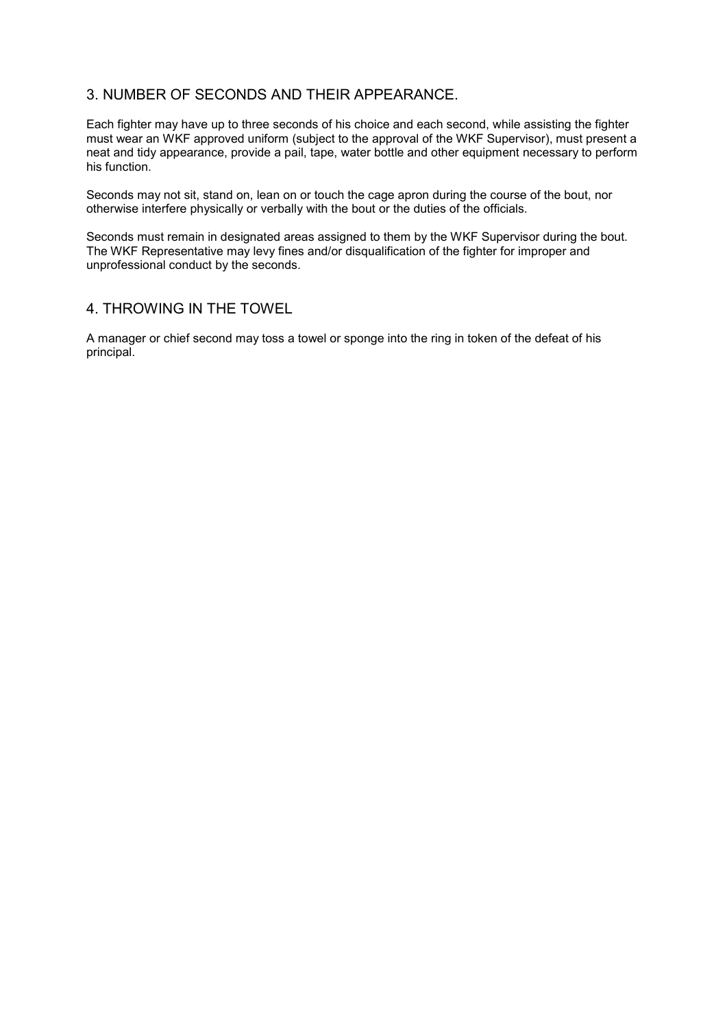# 3. NUMBER OF SECONDS AND THEIR APPEARANCE.

Each fighter may have up to three seconds of his choice and each second, while assisting the fighter must wear an WKF approved uniform (subject to the approval of the WKF Supervisor), must present a neat and tidy appearance, provide a pail, tape, water bottle and other equipment necessary to perform his function.

Seconds may not sit, stand on, lean on or touch the cage apron during the course of the bout, nor otherwise interfere physically or verbally with the bout or the duties of the officials.

Seconds must remain in designated areas assigned to them by the WKF Supervisor during the bout. The WKF Representative may levy fines and/or disqualification of the fighter for improper and unprofessional conduct by the seconds.

#### 4. THROWING IN THE TOWEL

A manager or chief second may toss a towel or sponge into the ring in token of the defeat of his principal.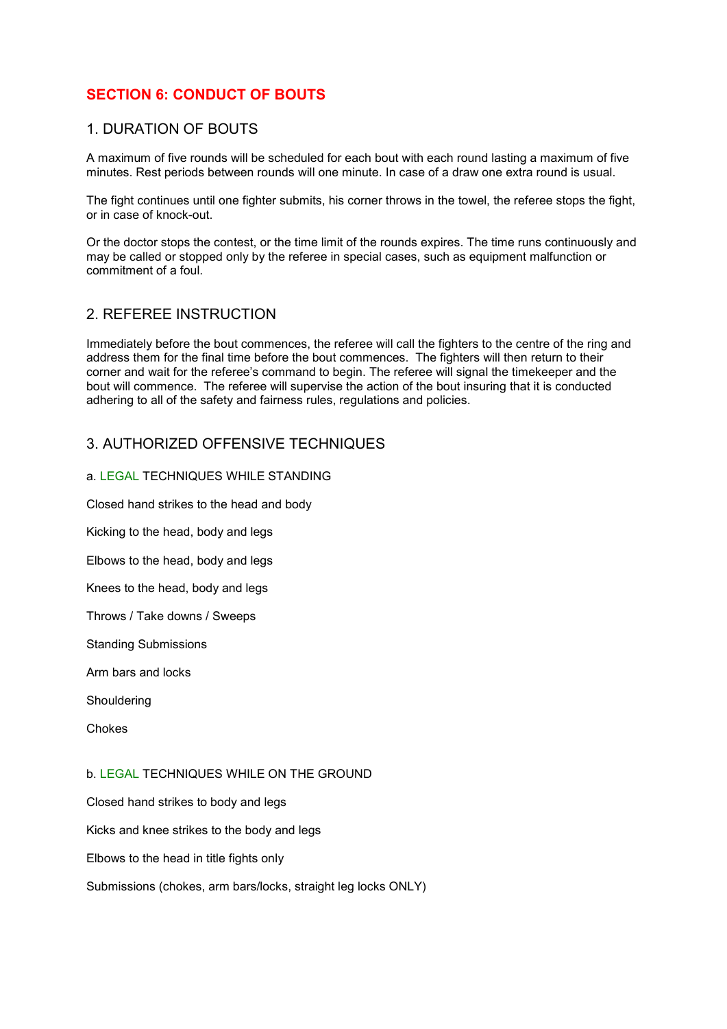# **SECTION 6: CONDUCT OF BOUTS**

#### 1. DURATION OF BOUTS

A maximum of five rounds will be scheduled for each bout with each round lasting a maximum of five minutes. Rest periods between rounds will one minute. In case of a draw one extra round is usual.

The fight continues until one fighter submits, his corner throws in the towel, the referee stops the fight, or in case of knock-out.

Or the doctor stops the contest, or the time limit of the rounds expires. The time runs continuously and may be called or stopped only by the referee in special cases, such as equipment malfunction or commitment of a foul.

# 2. REFEREE INSTRUCTION

Immediately before the bout commences, the referee will call the fighters to the centre of the ring and address them for the final time before the bout commences. The fighters will then return to their corner and wait for the referee's command to begin. The referee will signal the timekeeper and the bout will commence. The referee will supervise the action of the bout insuring that it is conducted adhering to all of the safety and fairness rules, regulations and policies.

#### 3. AUTHORIZED OFFENSIVE TECHNIQUES

#### a. LEGAL TECHNIQUES WHILE STANDING

Closed hand strikes to the head and body

Kicking to the head, body and legs

Elbows to the head, body and legs

Knees to the head, body and legs

Throws / Take downs / Sweeps

Standing Submissions

Arm bars and locks

Shouldering

Chokes

#### b. LEGAL TECHNIQUES WHILE ON THE GROUND

Closed hand strikes to body and legs

Kicks and knee strikes to the body and legs

Elbows to the head in title fights only

Submissions (chokes, arm bars/locks, straight leg locks ONLY)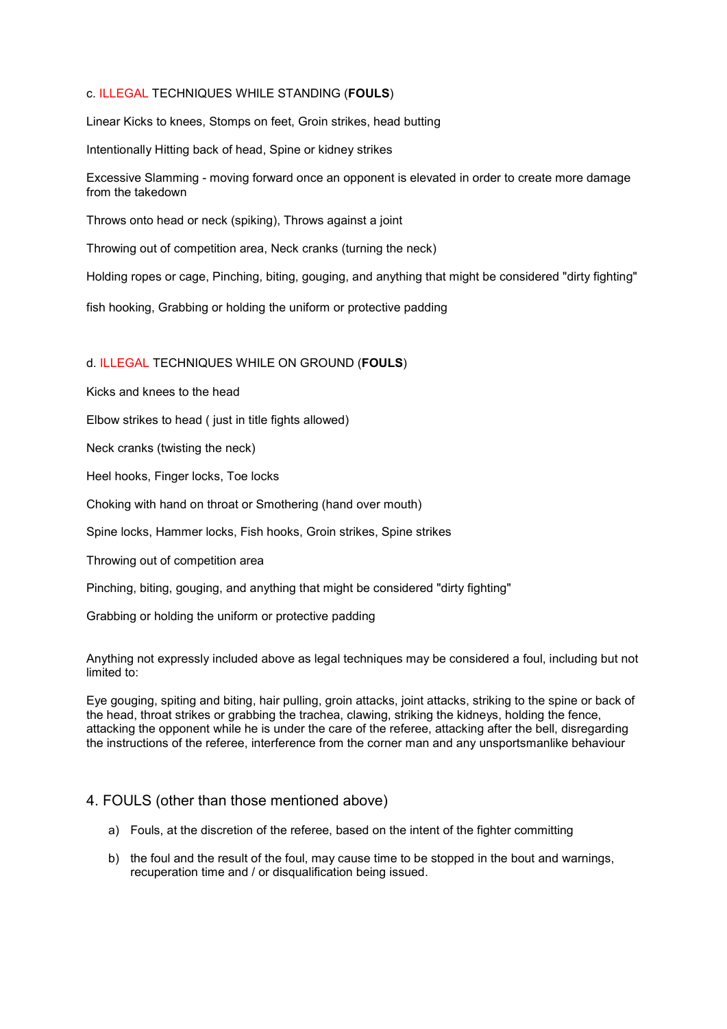#### c. ILLEGAL TECHNIQUES WHILE STANDING (**FOULS**)

Linear Kicks to knees, Stomps on feet, Groin strikes, head butting

Intentionally Hitting back of head, Spine or kidney strikes

Excessive Slamming - moving forward once an opponent is elevated in order to create more damage from the takedown

Throws onto head or neck (spiking), Throws against a joint

Throwing out of competition area, Neck cranks (turning the neck)

Holding ropes or cage, Pinching, biting, gouging, and anything that might be considered "dirty fighting"

fish hooking, Grabbing or holding the uniform or protective padding

#### d. ILLEGAL TECHNIQUES WHILE ON GROUND (**FOULS**)

Kicks and knees to the head

Elbow strikes to head ( just in title fights allowed)

Neck cranks (twisting the neck)

Heel hooks, Finger locks, Toe locks

Choking with hand on throat or Smothering (hand over mouth)

Spine locks, Hammer locks, Fish hooks, Groin strikes, Spine strikes

Throwing out of competition area

Pinching, biting, gouging, and anything that might be considered "dirty fighting"

Grabbing or holding the uniform or protective padding

Anything not expressly included above as legal techniques may be considered a foul, including but not limited to:

Eye gouging, spiting and biting, hair pulling, groin attacks, joint attacks, striking to the spine or back of the head, throat strikes or grabbing the trachea, clawing, striking the kidneys, holding the fence, attacking the opponent while he is under the care of the referee, attacking after the bell, disregarding the instructions of the referee, interference from the corner man and any unsportsmanlike behaviour

#### 4. FOULS (other than those mentioned above)

- a) Fouls, at the discretion of the referee, based on the intent of the fighter committing
- b) the foul and the result of the foul, may cause time to be stopped in the bout and warnings, recuperation time and / or disqualification being issued.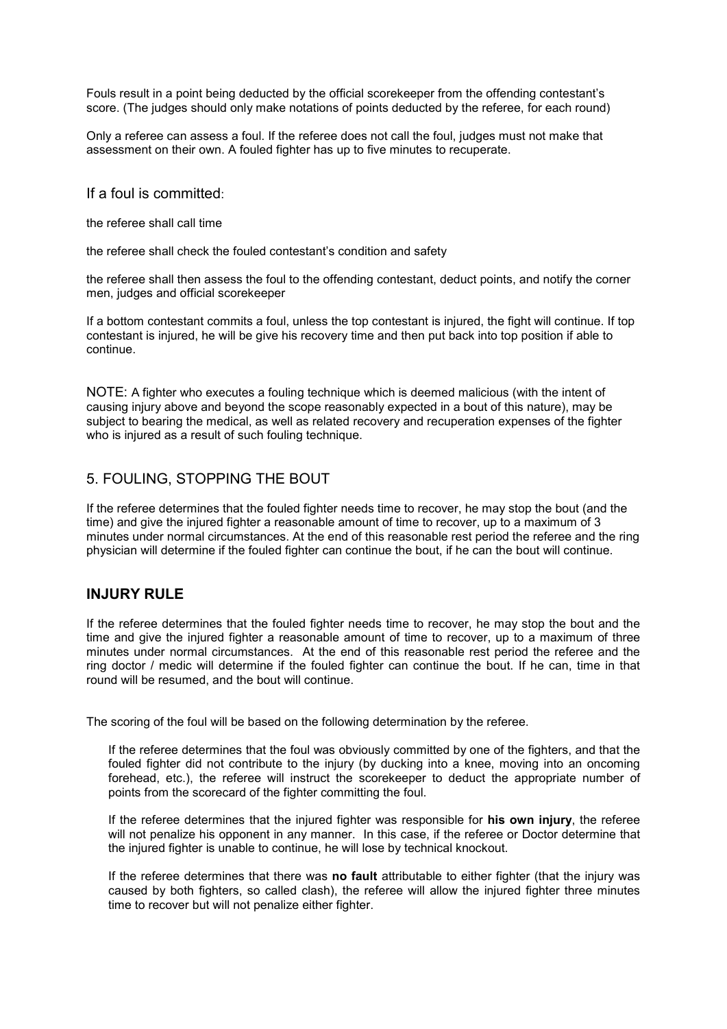Fouls result in a point being deducted by the official scorekeeper from the offending contestant's score. (The judges should only make notations of points deducted by the referee, for each round)

Only a referee can assess a foul. If the referee does not call the foul, judges must not make that assessment on their own. A fouled fighter has up to five minutes to recuperate.

If a foul is committed:

the referee shall call time

the referee shall check the fouled contestant's condition and safety

the referee shall then assess the foul to the offending contestant, deduct points, and notify the corner men, judges and official scorekeeper

If a bottom contestant commits a foul, unless the top contestant is injured, the fight will continue. If top contestant is injured, he will be give his recovery time and then put back into top position if able to continue.

NOTE: A fighter who executes a fouling technique which is deemed malicious (with the intent of causing injury above and beyond the scope reasonably expected in a bout of this nature), may be subject to bearing the medical, as well as related recovery and recuperation expenses of the fighter who is injured as a result of such fouling technique.

#### 5. FOULING, STOPPING THE BOUT

If the referee determines that the fouled fighter needs time to recover, he may stop the bout (and the time) and give the injured fighter a reasonable amount of time to recover, up to a maximum of 3 minutes under normal circumstances. At the end of this reasonable rest period the referee and the ring physician will determine if the fouled fighter can continue the bout, if he can the bout will continue.

#### **INJURY RULE**

If the referee determines that the fouled fighter needs time to recover, he may stop the bout and the time and give the injured fighter a reasonable amount of time to recover, up to a maximum of three minutes under normal circumstances. At the end of this reasonable rest period the referee and the ring doctor / medic will determine if the fouled fighter can continue the bout. If he can, time in that round will be resumed, and the bout will continue.

The scoring of the foul will be based on the following determination by the referee.

If the referee determines that the foul was obviously committed by one of the fighters, and that the fouled fighter did not contribute to the injury (by ducking into a knee, moving into an oncoming forehead, etc.), the referee will instruct the scorekeeper to deduct the appropriate number of points from the scorecard of the fighter committing the foul.

If the referee determines that the injured fighter was responsible for **his own injury**, the referee will not penalize his opponent in any manner. In this case, if the referee or Doctor determine that the injured fighter is unable to continue, he will lose by technical knockout.

If the referee determines that there was **no fault** attributable to either fighter (that the injury was caused by both fighters, so called clash), the referee will allow the injured fighter three minutes time to recover but will not penalize either fighter.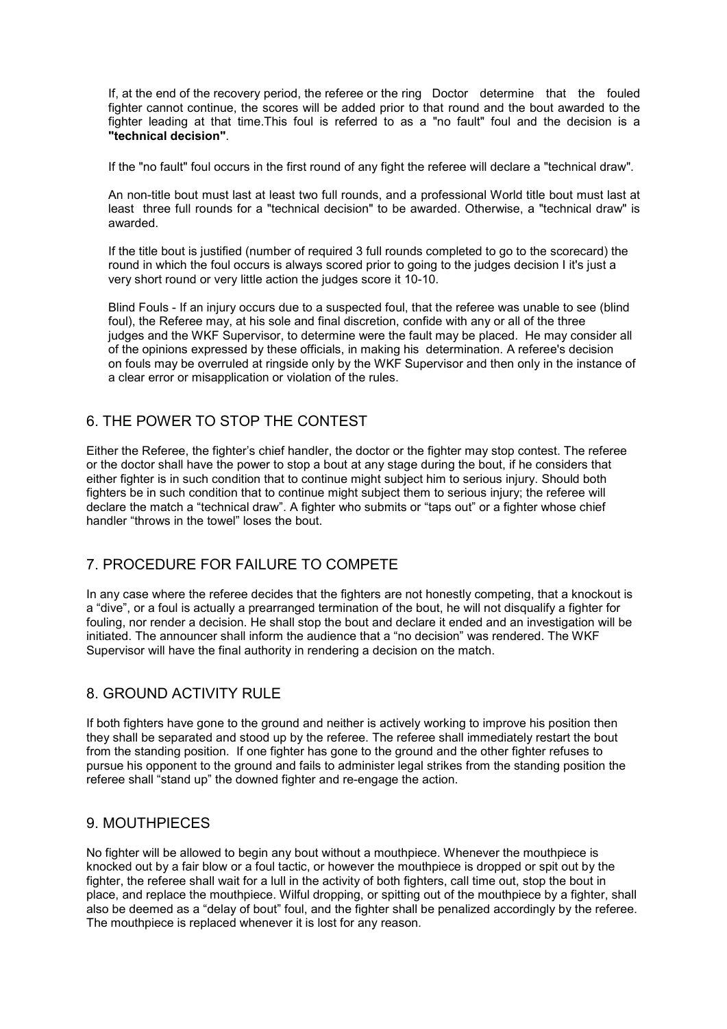If, at the end of the recovery period, the referee or the ring Doctor determine that the fouled fighter cannot continue, the scores will be added prior to that round and the bout awarded to the fighter leading at that time.This foul is referred to as a "no fault" foul and the decision is a **"technical decision"**.

If the "no fault" foul occurs in the first round of any fight the referee will declare a "technical draw".

An non-title bout must last at least two full rounds, and a professional World title bout must last at least three full rounds for a "technical decision" to be awarded. Otherwise, a "technical draw" is awarded.

If the title bout is justified (number of required 3 full rounds completed to go to the scorecard) the round in which the foul occurs is always scored prior to going to the judges decision I it's just a very short round or very little action the judges score it 10-10.

Blind Fouls - If an injury occurs due to a suspected foul, that the referee was unable to see (blind foul), the Referee may, at his sole and final discretion, confide with any or all of the three judges and the WKF Supervisor, to determine were the fault may be placed. He may consider all of the opinions expressed by these officials, in making his determination. A referee's decision on fouls may be overruled at ringside only by the WKF Supervisor and then only in the instance of a clear error or misapplication or violation of the rules.

# 6. THE POWER TO STOP THE CONTEST

Either the Referee, the fighter's chief handler, the doctor or the fighter may stop contest. The referee or the doctor shall have the power to stop a bout at any stage during the bout, if he considers that either fighter is in such condition that to continue might subject him to serious injury. Should both fighters be in such condition that to continue might subject them to serious injury; the referee will declare the match a "technical draw". A fighter who submits or "taps out" or a fighter whose chief handler "throws in the towel" loses the bout.

# 7. PROCEDURE FOR FAILURE TO COMPETE

In any case where the referee decides that the fighters are not honestly competing, that a knockout is a "dive", or a foul is actually a prearranged termination of the bout, he will not disqualify a fighter for fouling, nor render a decision. He shall stop the bout and declare it ended and an investigation will be initiated. The announcer shall inform the audience that a "no decision" was rendered. The WKF Supervisor will have the final authority in rendering a decision on the match.

# 8. GROUND ACTIVITY RULE

If both fighters have gone to the ground and neither is actively working to improve his position then they shall be separated and stood up by the referee. The referee shall immediately restart the bout from the standing position. If one fighter has gone to the ground and the other fighter refuses to pursue his opponent to the ground and fails to administer legal strikes from the standing position the referee shall "stand up" the downed fighter and re-engage the action.

#### 9. MOUTHPIECES

No fighter will be allowed to begin any bout without a mouthpiece. Whenever the mouthpiece is knocked out by a fair blow or a foul tactic, or however the mouthpiece is dropped or spit out by the fighter, the referee shall wait for a lull in the activity of both fighters, call time out, stop the bout in place, and replace the mouthpiece. Wilful dropping, or spitting out of the mouthpiece by a fighter, shall also be deemed as a "delay of bout" foul, and the fighter shall be penalized accordingly by the referee. The mouthpiece is replaced whenever it is lost for any reason.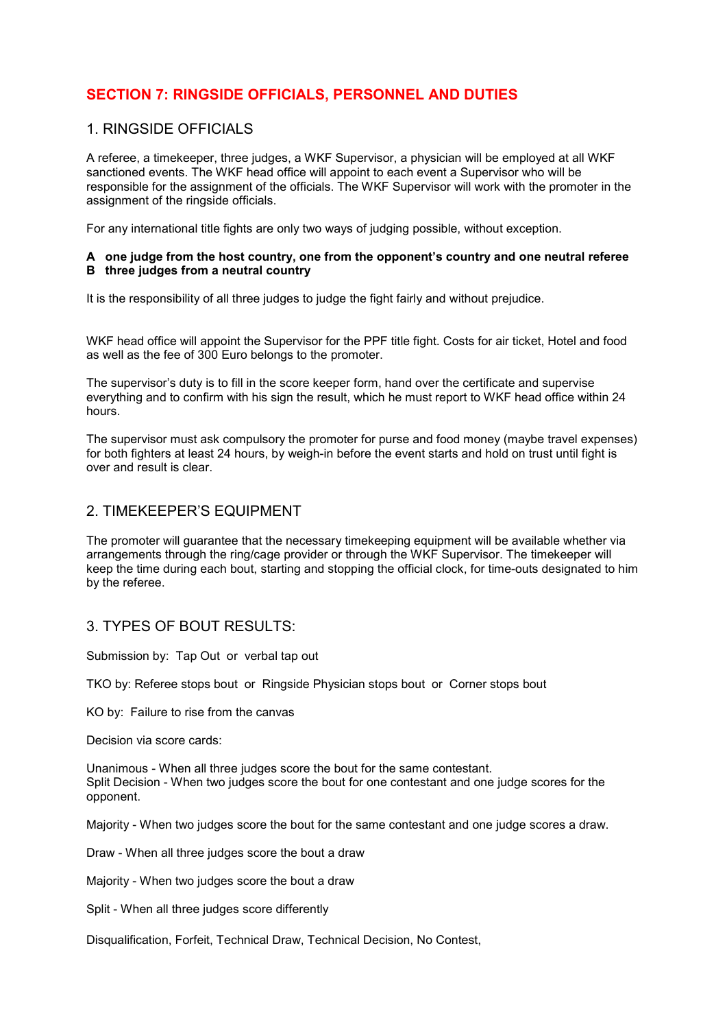# **SECTION 7: RINGSIDE OFFICIALS, PERSONNEL AND DUTIES**

#### 1. RINGSIDE OFFICIALS

A referee, a timekeeper, three judges, a WKF Supervisor, a physician will be employed at all WKF sanctioned events. The WKF head office will appoint to each event a Supervisor who will be responsible for the assignment of the officials. The WKF Supervisor will work with the promoter in the assignment of the ringside officials.

For any international title fights are only two ways of judging possible, without exception.

#### **A one judge from the host country, one from the opponent's country and one neutral referee B three judges from a neutral country**

It is the responsibility of all three judges to judge the fight fairly and without prejudice.

WKF head office will appoint the Supervisor for the PPF title fight. Costs for air ticket, Hotel and food as well as the fee of 300 Euro belongs to the promoter.

The supervisor's duty is to fill in the score keeper form, hand over the certificate and supervise everything and to confirm with his sign the result, which he must report to WKF head office within 24 hours.

The supervisor must ask compulsory the promoter for purse and food money (maybe travel expenses) for both fighters at least 24 hours, by weigh-in before the event starts and hold on trust until fight is over and result is clear.

#### 2. TIMEKEEPER'S EQUIPMENT

The promoter will guarantee that the necessary timekeeping equipment will be available whether via arrangements through the ring/cage provider or through the WKF Supervisor. The timekeeper will keep the time during each bout, starting and stopping the official clock, for time-outs designated to him by the referee.

# 3. TYPES OF BOUT RESULTS:

Submission by: Tap Out or verbal tap out

TKO by: Referee stops bout or Ringside Physician stops bout or Corner stops bout

KO by: Failure to rise from the canvas

Decision via score cards:

Unanimous - When all three judges score the bout for the same contestant. Split Decision - When two judges score the bout for one contestant and one judge scores for the opponent.

Majority - When two judges score the bout for the same contestant and one judge scores a draw.

Draw - When all three judges score the bout a draw

Majority - When two judges score the bout a draw

Split - When all three judges score differently

Disqualification, Forfeit, Technical Draw, Technical Decision, No Contest,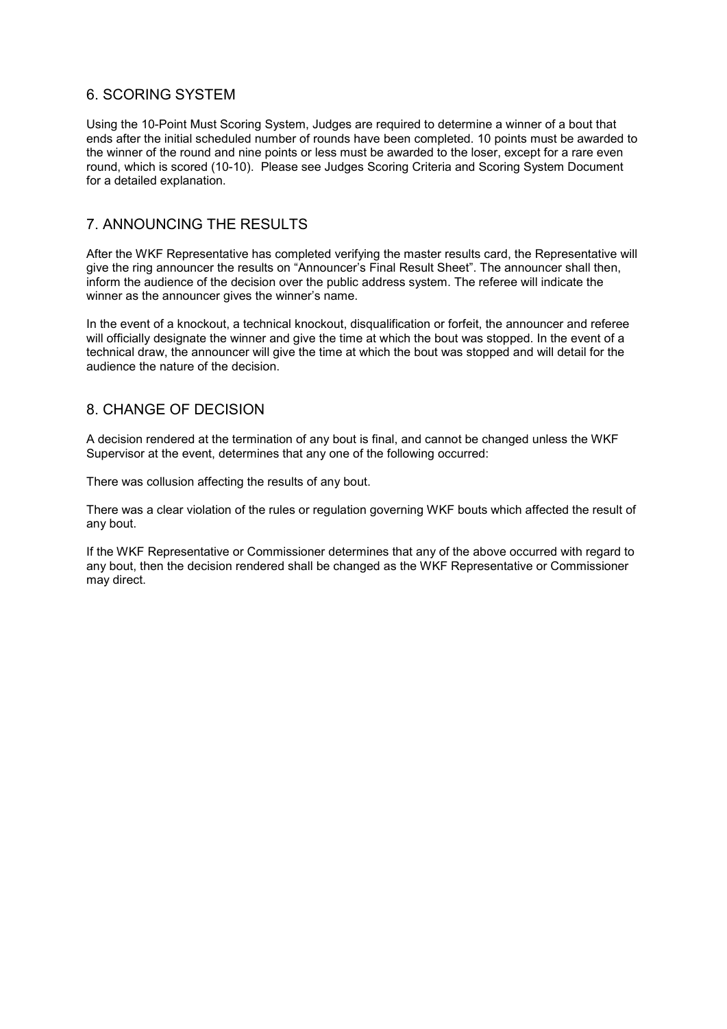# 6. SCORING SYSTEM

Using the 10-Point Must Scoring System, Judges are required to determine a winner of a bout that ends after the initial scheduled number of rounds have been completed. 10 points must be awarded to the winner of the round and nine points or less must be awarded to the loser, except for a rare even round, which is scored (10-10). Please see Judges Scoring Criteria and Scoring System Document for a detailed explanation.

#### 7. ANNOUNCING THE RESULTS

After the WKF Representative has completed verifying the master results card, the Representative will give the ring announcer the results on "Announcer's Final Result Sheet". The announcer shall then, inform the audience of the decision over the public address system. The referee will indicate the winner as the announcer gives the winner's name.

In the event of a knockout, a technical knockout, disqualification or forfeit, the announcer and referee will officially designate the winner and give the time at which the bout was stopped. In the event of a technical draw, the announcer will give the time at which the bout was stopped and will detail for the audience the nature of the decision.

# 8. CHANGE OF DECISION

A decision rendered at the termination of any bout is final, and cannot be changed unless the WKF Supervisor at the event, determines that any one of the following occurred:

There was collusion affecting the results of any bout.

There was a clear violation of the rules or regulation governing WKF bouts which affected the result of any bout.

If the WKF Representative or Commissioner determines that any of the above occurred with regard to any bout, then the decision rendered shall be changed as the WKF Representative or Commissioner may direct.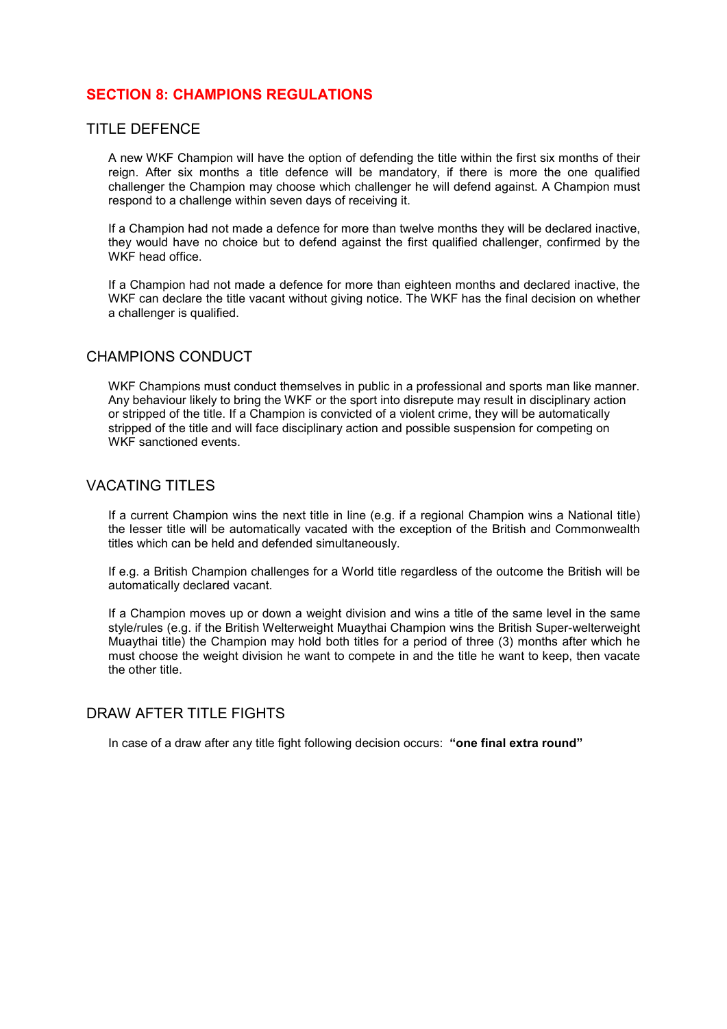# **SECTION 8: CHAMPIONS REGULATIONS**

#### TITLE DEFENCE

A new WKF Champion will have the option of defending the title within the first six months of their reign. After six months a title defence will be mandatory, if there is more the one qualified challenger the Champion may choose which challenger he will defend against. A Champion must respond to a challenge within seven days of receiving it.

If a Champion had not made a defence for more than twelve months they will be declared inactive, they would have no choice but to defend against the first qualified challenger, confirmed by the WKF head office.

If a Champion had not made a defence for more than eighteen months and declared inactive, the WKF can declare the title vacant without giving notice. The WKF has the final decision on whether a challenger is qualified.

#### CHAMPIONS CONDUCT

WKF Champions must conduct themselves in public in a professional and sports man like manner. Any behaviour likely to bring the WKF or the sport into disrepute may result in disciplinary action or stripped of the title. If a Champion is convicted of a violent crime, they will be automatically stripped of the title and will face disciplinary action and possible suspension for competing on WKF sanctioned events.

#### VACATING TITLES

If a current Champion wins the next title in line (e.g. if a regional Champion wins a National title) the lesser title will be automatically vacated with the exception of the British and Commonwealth titles which can be held and defended simultaneously.

If e.g. a British Champion challenges for a World title regardless of the outcome the British will be automatically declared vacant.

If a Champion moves up or down a weight division and wins a title of the same level in the same style/rules (e.g. if the British Welterweight Muaythai Champion wins the British Super-welterweight Muaythai title) the Champion may hold both titles for a period of three (3) months after which he must choose the weight division he want to compete in and the title he want to keep, then vacate the other title.

#### DRAW AFTER TITLE FIGHTS

In case of a draw after any title fight following decision occurs: **"one final extra round"**